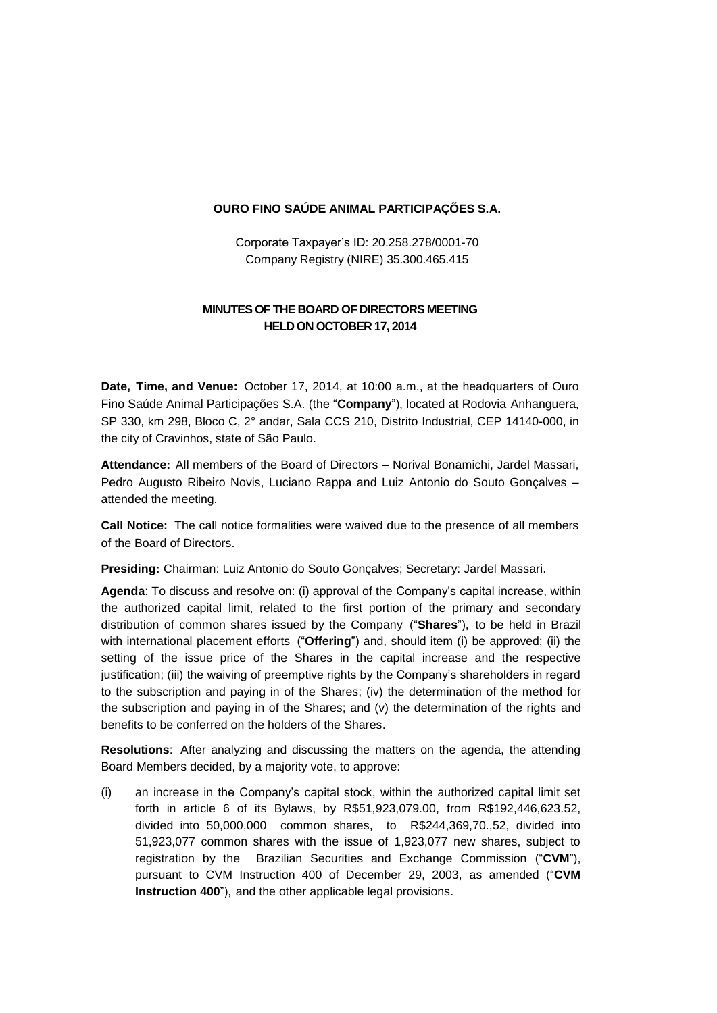## **OURO FINO SAÚDE ANIMAL PARTICIPAÇÕES S.A.**

Corporate Taxpayer's ID: 20.258.278/0001-70 Company Registry (NIRE) 35.300.465.415

## **MINUTES OF THE BOARD OF DIRECTORS MEETING HELD ON OCTOBER 17, 2014**

**Date, Time, and Venue:** October 17, 2014, at 10:00 a.m., at the headquarters of Ouro Fino Saúde Animal Participações S.A. (the "**Company**"), located at Rodovia Anhanguera, SP 330, km 298, Bloco C, 2° andar, Sala CCS 210, Distrito Industrial, CEP 14140-000, in the city of Cravinhos, state of São Paulo.

**Attendance:** All members of the Board of Directors – Norival Bonamichi, Jardel Massari, Pedro Augusto Ribeiro Novis, Luciano Rappa and Luiz Antonio do Souto Gonçalves – attended the meeting.

**Call Notice:** The call notice formalities were waived due to the presence of all members of the Board of Directors.

**Presiding:** Chairman: Luiz Antonio do Souto Gonçalves; Secretary: Jardel Massari.

**Agenda**: To discuss and resolve on: (i) approval of the Company's capital increase, within the authorized capital limit, related to the first portion of the primary and secondary distribution of common shares issued by the Company ("**Shares**"), to be held in Brazil with international placement efforts ("**Offering**") and, should item (i) be approved; (ii) the setting of the issue price of the Shares in the capital increase and the respective justification; (iii) the waiving of preemptive rights by the Company's shareholders in regard to the subscription and paying in of the Shares; (iv) the determination of the method for the subscription and paying in of the Shares; and (v) the determination of the rights and benefits to be conferred on the holders of the Shares.

**Resolutions**: After analyzing and discussing the matters on the agenda, the attending Board Members decided, by a majority vote, to approve:

(i) an increase in the Company's capital stock, within the authorized capital limit set forth in article 6 of its Bylaws, by R\$51,923,079.00, from R\$192,446,623.52, divided into 50,000,000 common shares, to R\$244,369,70.,52, divided into 51,923,077 common shares with the issue of 1,923,077 new shares, subject to registration by the Brazilian Securities and Exchange Commission ("**CVM**"), pursuant to CVM Instruction 400 of December 29, 2003, as amended ("**CVM Instruction 400**"), and the other applicable legal provisions.